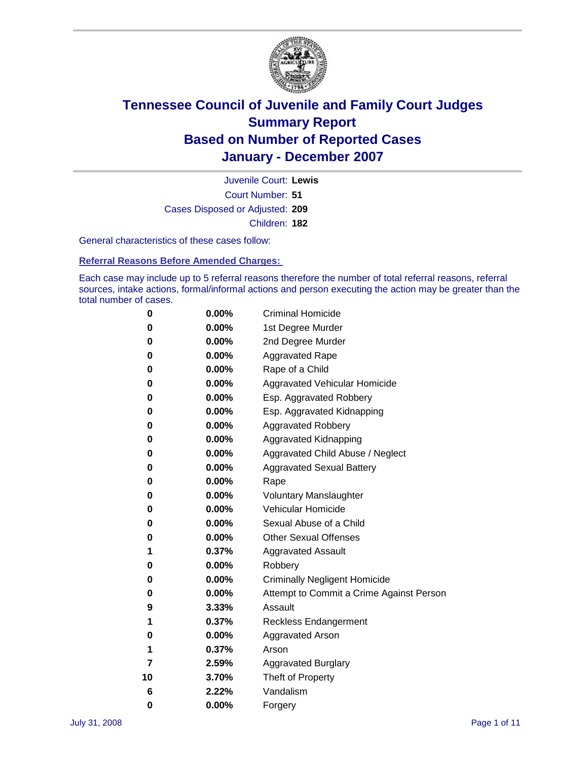

Court Number: **51** Juvenile Court: **Lewis** Cases Disposed or Adjusted: **209** Children: **182**

General characteristics of these cases follow:

**Referral Reasons Before Amended Charges:** 

Each case may include up to 5 referral reasons therefore the number of total referral reasons, referral sources, intake actions, formal/informal actions and person executing the action may be greater than the total number of cases.

| 0  | 0.00%    | <b>Criminal Homicide</b>                 |
|----|----------|------------------------------------------|
| 0  | 0.00%    | 1st Degree Murder                        |
| 0  | $0.00\%$ | 2nd Degree Murder                        |
| 0  | 0.00%    | <b>Aggravated Rape</b>                   |
| 0  | 0.00%    | Rape of a Child                          |
| 0  | 0.00%    | Aggravated Vehicular Homicide            |
| 0  | 0.00%    | Esp. Aggravated Robbery                  |
| 0  | 0.00%    | Esp. Aggravated Kidnapping               |
| 0  | 0.00%    | <b>Aggravated Robbery</b>                |
| 0  | 0.00%    | Aggravated Kidnapping                    |
| 0  | 0.00%    | Aggravated Child Abuse / Neglect         |
| 0  | $0.00\%$ | <b>Aggravated Sexual Battery</b>         |
| 0  | 0.00%    | Rape                                     |
| 0  | 0.00%    | <b>Voluntary Manslaughter</b>            |
| 0  | 0.00%    | Vehicular Homicide                       |
| 0  | 0.00%    | Sexual Abuse of a Child                  |
| 0  | 0.00%    | <b>Other Sexual Offenses</b>             |
| 1  | 0.37%    | <b>Aggravated Assault</b>                |
| 0  | $0.00\%$ | Robbery                                  |
| 0  | 0.00%    | <b>Criminally Negligent Homicide</b>     |
| 0  | 0.00%    | Attempt to Commit a Crime Against Person |
| 9  | 3.33%    | Assault                                  |
| 1  | 0.37%    | <b>Reckless Endangerment</b>             |
| 0  | 0.00%    | <b>Aggravated Arson</b>                  |
| 1  | 0.37%    | Arson                                    |
| 7  | 2.59%    | <b>Aggravated Burglary</b>               |
| 10 | 3.70%    | Theft of Property                        |
| 6  | 2.22%    | Vandalism                                |
| 0  | 0.00%    | Forgery                                  |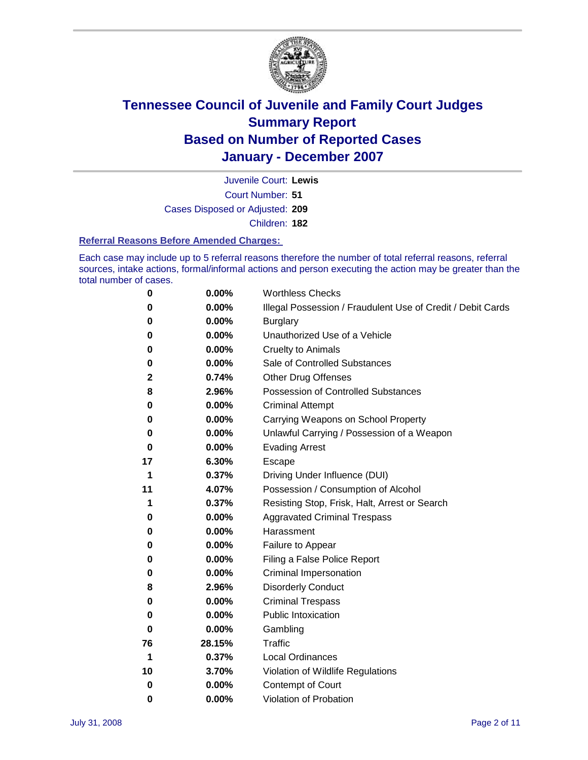

Court Number: **51** Juvenile Court: **Lewis** Cases Disposed or Adjusted: **209** Children: **182**

#### **Referral Reasons Before Amended Charges:**

Each case may include up to 5 referral reasons therefore the number of total referral reasons, referral sources, intake actions, formal/informal actions and person executing the action may be greater than the total number of cases.

| 0  | 0.00%  | <b>Worthless Checks</b>                                     |
|----|--------|-------------------------------------------------------------|
| 0  | 0.00%  | Illegal Possession / Fraudulent Use of Credit / Debit Cards |
| 0  | 0.00%  | <b>Burglary</b>                                             |
| 0  | 0.00%  | Unauthorized Use of a Vehicle                               |
| 0  | 0.00%  | <b>Cruelty to Animals</b>                                   |
| 0  | 0.00%  | Sale of Controlled Substances                               |
| 2  | 0.74%  | <b>Other Drug Offenses</b>                                  |
| 8  | 2.96%  | <b>Possession of Controlled Substances</b>                  |
| 0  | 0.00%  | <b>Criminal Attempt</b>                                     |
| 0  | 0.00%  | Carrying Weapons on School Property                         |
| 0  | 0.00%  | Unlawful Carrying / Possession of a Weapon                  |
| 0  | 0.00%  | <b>Evading Arrest</b>                                       |
| 17 | 6.30%  | Escape                                                      |
| 1  | 0.37%  | Driving Under Influence (DUI)                               |
| 11 | 4.07%  | Possession / Consumption of Alcohol                         |
| 1  | 0.37%  | Resisting Stop, Frisk, Halt, Arrest or Search               |
| 0  | 0.00%  | <b>Aggravated Criminal Trespass</b>                         |
| 0  | 0.00%  | Harassment                                                  |
| 0  | 0.00%  | Failure to Appear                                           |
| 0  | 0.00%  | Filing a False Police Report                                |
| 0  | 0.00%  | Criminal Impersonation                                      |
| 8  | 2.96%  | <b>Disorderly Conduct</b>                                   |
| 0  | 0.00%  | <b>Criminal Trespass</b>                                    |
| 0  | 0.00%  | <b>Public Intoxication</b>                                  |
| 0  | 0.00%  | Gambling                                                    |
| 76 | 28.15% | Traffic                                                     |
| 1  | 0.37%  | <b>Local Ordinances</b>                                     |
| 10 | 3.70%  | Violation of Wildlife Regulations                           |
| 0  | 0.00%  | <b>Contempt of Court</b>                                    |
| 0  | 0.00%  | Violation of Probation                                      |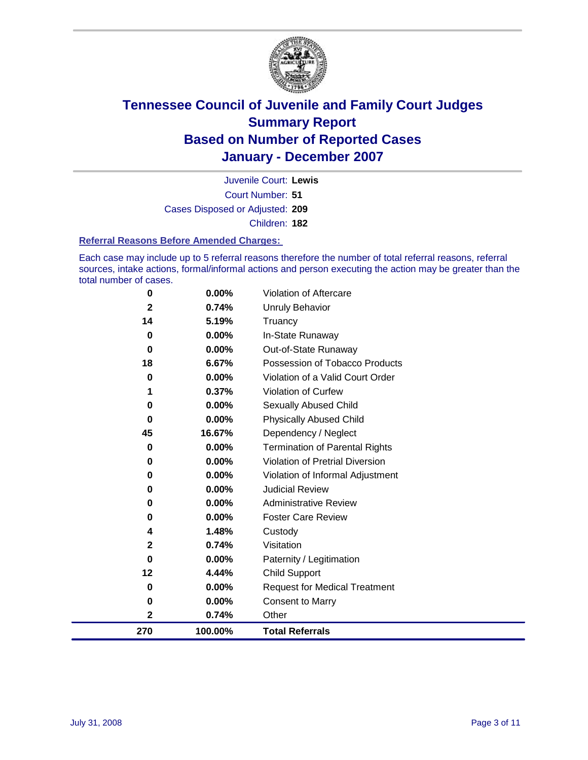

Court Number: **51** Juvenile Court: **Lewis** Cases Disposed or Adjusted: **209** Children: **182**

#### **Referral Reasons Before Amended Charges:**

Each case may include up to 5 referral reasons therefore the number of total referral reasons, referral sources, intake actions, formal/informal actions and person executing the action may be greater than the total number of cases.

| 0           | 0.00%    | Violation of Aftercare                 |
|-------------|----------|----------------------------------------|
| $\mathbf 2$ | 0.74%    | <b>Unruly Behavior</b>                 |
| 14          | 5.19%    | Truancy                                |
| 0           | 0.00%    | In-State Runaway                       |
| $\bf{0}$    | $0.00\%$ | Out-of-State Runaway                   |
| 18          | 6.67%    | Possession of Tobacco Products         |
| 0           | 0.00%    | Violation of a Valid Court Order       |
|             | 0.37%    | Violation of Curfew                    |
| 0           | $0.00\%$ | Sexually Abused Child                  |
| 0           | $0.00\%$ | <b>Physically Abused Child</b>         |
| 45          | 16.67%   | Dependency / Neglect                   |
| 0           | 0.00%    | <b>Termination of Parental Rights</b>  |
| 0           | $0.00\%$ | <b>Violation of Pretrial Diversion</b> |
| 0           | $0.00\%$ | Violation of Informal Adjustment       |
| 0           | 0.00%    | <b>Judicial Review</b>                 |
| 0           | $0.00\%$ | <b>Administrative Review</b>           |
| 0           | $0.00\%$ | <b>Foster Care Review</b>              |
| 4           | 1.48%    | Custody                                |
| $\mathbf 2$ | 0.74%    | Visitation                             |
| 0           | 0.00%    | Paternity / Legitimation               |
| 12          | 4.44%    | <b>Child Support</b>                   |
| 0           | 0.00%    | <b>Request for Medical Treatment</b>   |
| 0           | 0.00%    | <b>Consent to Marry</b>                |
| 2           | 0.74%    | Other                                  |
| 270         | 100.00%  | <b>Total Referrals</b>                 |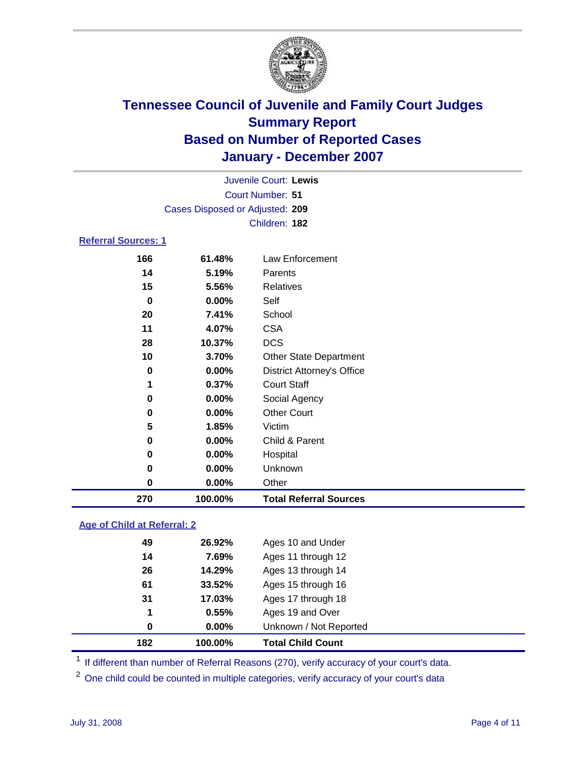

| Juvenile Court: Lewis           |
|---------------------------------|
| Court Number: 51                |
| Cases Disposed or Adjusted: 209 |
| Children: 182                   |
|                                 |

#### **Referral Sources: 1**

| 166         | 61.48%   | Law Enforcement                   |
|-------------|----------|-----------------------------------|
| 14          | 5.19%    | Parents                           |
| 15          | 5.56%    | Relatives                         |
| 0           | 0.00%    | Self                              |
| 20          | 7.41%    | School                            |
| 11          | 4.07%    | <b>CSA</b>                        |
| 28          | 10.37%   | <b>DCS</b>                        |
| 10          | 3.70%    | <b>Other State Department</b>     |
| $\mathbf 0$ | 0.00%    | <b>District Attorney's Office</b> |
| 1           | 0.37%    | <b>Court Staff</b>                |
| $\bf{0}$    | 0.00%    | Social Agency                     |
| 0           | $0.00\%$ | <b>Other Court</b>                |
| 5           | 1.85%    | Victim                            |
| 0           | 0.00%    | Child & Parent                    |
| 0           | 0.00%    | Hospital                          |
| 0           | 0.00%    | Unknown                           |
| 0           | 0.00%    | Other                             |
| 270         | 100.00%  | <b>Total Referral Sources</b>     |

#### **Age of Child at Referral: 2**

| 182 | 100.00% | <b>Total Child Count</b> |
|-----|---------|--------------------------|
| 0   | 0.00%   | Unknown / Not Reported   |
| 1   | 0.55%   | Ages 19 and Over         |
| 31  | 17.03%  | Ages 17 through 18       |
| 61  | 33.52%  | Ages 15 through 16       |
| 26  | 14.29%  | Ages 13 through 14       |
| 14  | 7.69%   | Ages 11 through 12       |
| 49  | 26.92%  | Ages 10 and Under        |
|     |         |                          |

<sup>1</sup> If different than number of Referral Reasons (270), verify accuracy of your court's data.

One child could be counted in multiple categories, verify accuracy of your court's data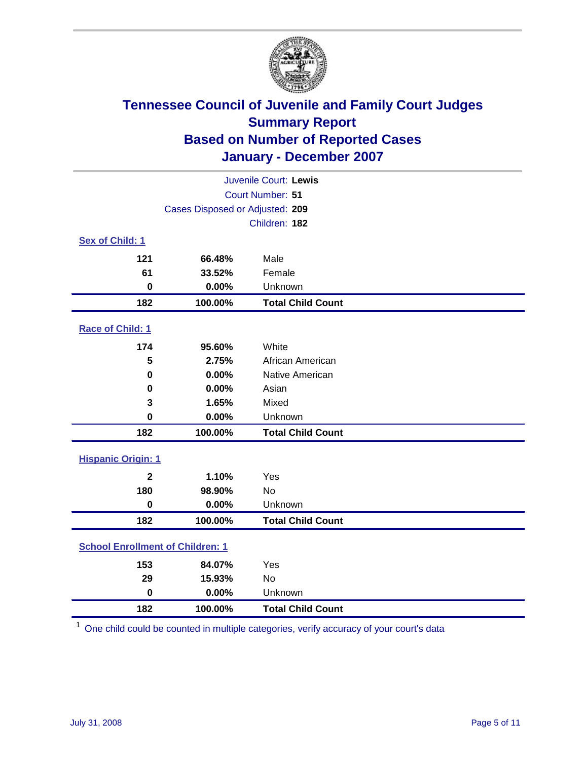

|                                         |                                 | Juvenile Court: Lewis    |  |
|-----------------------------------------|---------------------------------|--------------------------|--|
| Court Number: 51                        |                                 |                          |  |
|                                         | Cases Disposed or Adjusted: 209 |                          |  |
|                                         |                                 | Children: 182            |  |
| Sex of Child: 1                         |                                 |                          |  |
| 121                                     | 66.48%                          | Male                     |  |
| 61                                      | 33.52%                          | Female                   |  |
| $\bf{0}$                                | 0.00%                           | Unknown                  |  |
| 182                                     | 100.00%                         | <b>Total Child Count</b> |  |
| Race of Child: 1                        |                                 |                          |  |
| 174                                     | 95.60%                          | White                    |  |
| 5                                       | 2.75%                           | African American         |  |
| $\bf{0}$                                | 0.00%                           | Native American          |  |
| 0                                       | 0.00%                           | Asian                    |  |
| 3                                       | 1.65%                           | Mixed                    |  |
| $\bf{0}$                                | 0.00%                           | Unknown                  |  |
| 182                                     | 100.00%                         | <b>Total Child Count</b> |  |
| <b>Hispanic Origin: 1</b>               |                                 |                          |  |
| $\mathbf{2}$                            | 1.10%                           | Yes                      |  |
| 180                                     | 98.90%                          | <b>No</b>                |  |
| $\mathbf 0$                             | 0.00%                           | Unknown                  |  |
| 182                                     | 100.00%                         | <b>Total Child Count</b> |  |
| <b>School Enrollment of Children: 1</b> |                                 |                          |  |
| 153                                     | 84.07%                          | Yes                      |  |
| 29                                      | 15.93%                          | No                       |  |
| $\mathbf 0$                             | 0.00%                           | Unknown                  |  |
| 182                                     | 100.00%                         | <b>Total Child Count</b> |  |

One child could be counted in multiple categories, verify accuracy of your court's data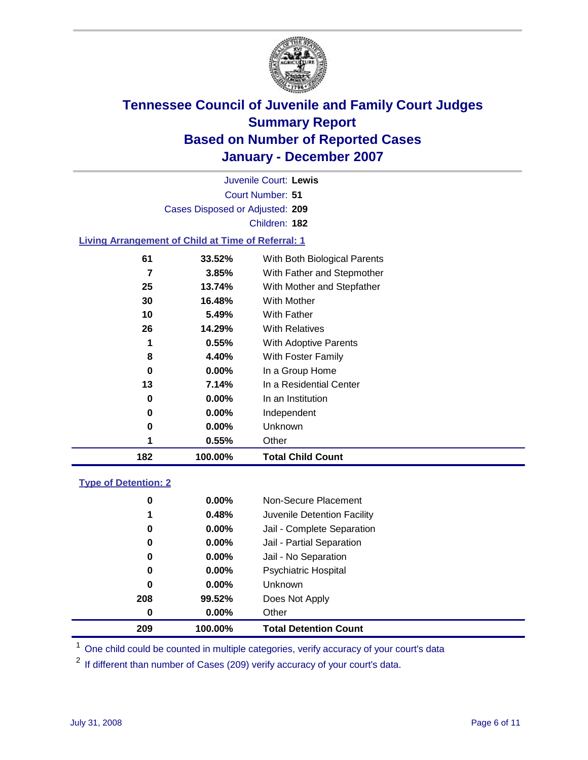

Court Number: **51** Juvenile Court: **Lewis** Cases Disposed or Adjusted: **209** Children: **182**

#### **Living Arrangement of Child at Time of Referral: 1**

| 182 | 100.00%  | <b>Total Child Count</b>     |
|-----|----------|------------------------------|
| 1   | 0.55%    | Other                        |
| 0   | 0.00%    | Unknown                      |
| 0   | $0.00\%$ | Independent                  |
| 0   | 0.00%    | In an Institution            |
| 13  | 7.14%    | In a Residential Center      |
| 0   | 0.00%    | In a Group Home              |
| 8   | 4.40%    | With Foster Family           |
| 1   | 0.55%    | With Adoptive Parents        |
| 26  | 14.29%   | <b>With Relatives</b>        |
| 10  | 5.49%    | With Father                  |
| 30  | 16.48%   | With Mother                  |
| 25  | 13.74%   | With Mother and Stepfather   |
| 7   | 3.85%    | With Father and Stepmother   |
| 61  | 33.52%   | With Both Biological Parents |
|     |          |                              |

#### **Type of Detention: 2**

| 209 | 100.00%  | <b>Total Detention Count</b> |
|-----|----------|------------------------------|
| 0   | $0.00\%$ | Other                        |
| 208 | 99.52%   | Does Not Apply               |
| 0   | $0.00\%$ | <b>Unknown</b>               |
| 0   | $0.00\%$ | <b>Psychiatric Hospital</b>  |
| 0   | 0.00%    | Jail - No Separation         |
| 0   | $0.00\%$ | Jail - Partial Separation    |
| 0   | $0.00\%$ | Jail - Complete Separation   |
| 1   | 0.48%    | Juvenile Detention Facility  |
| 0   | $0.00\%$ | Non-Secure Placement         |
|     |          |                              |

<sup>1</sup> One child could be counted in multiple categories, verify accuracy of your court's data

<sup>2</sup> If different than number of Cases (209) verify accuracy of your court's data.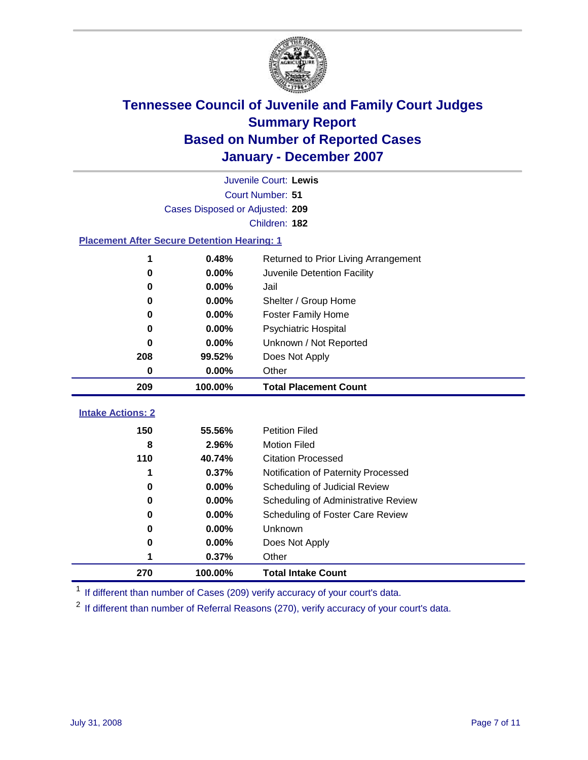

|                                                    |                                 | Juvenile Court: Lewis                |
|----------------------------------------------------|---------------------------------|--------------------------------------|
|                                                    |                                 | Court Number: 51                     |
|                                                    | Cases Disposed or Adjusted: 209 |                                      |
|                                                    |                                 | Children: 182                        |
| <b>Placement After Secure Detention Hearing: 1</b> |                                 |                                      |
| 1                                                  | 0.48%                           | Returned to Prior Living Arrangement |
| $\bf{0}$                                           | 0.00%                           | Juvenile Detention Facility          |
| 0                                                  | 0.00%                           | Jail                                 |
| 0                                                  | 0.00%                           | Shelter / Group Home                 |
| 0                                                  | 0.00%                           | <b>Foster Family Home</b>            |
| 0                                                  | 0.00%                           | Psychiatric Hospital                 |
| U                                                  | 0.00%                           | Unknown / Not Reported               |
| 208                                                | 99.52%                          | Does Not Apply                       |
| 0                                                  | 0.00%                           | Other                                |
| 209                                                | 100.00%                         | <b>Total Placement Count</b>         |
|                                                    |                                 |                                      |
| <b>Intake Actions: 2</b>                           |                                 |                                      |
| 150                                                | 55.56%                          | <b>Petition Filed</b>                |
| 8                                                  | 2.96%                           | <b>Motion Filed</b>                  |
| 110                                                | 40.74%                          | <b>Citation Processed</b>            |
| 1                                                  | 0.37%                           | Notification of Paternity Processed  |
| $\bf{0}$                                           | 0.00%                           | Scheduling of Judicial Review        |
| 0                                                  | 0.00%                           | Scheduling of Administrative Review  |
| 0                                                  | 0.00%                           | Scheduling of Foster Care Review     |
| 0                                                  | 0.00%                           | Unknown                              |
| 0                                                  | 0.00%                           | Does Not Apply                       |
| 1                                                  | 0.37%                           | Other                                |
| 270                                                | 100.00%                         | <b>Total Intake Count</b>            |

<sup>1</sup> If different than number of Cases (209) verify accuracy of your court's data.

<sup>2</sup> If different than number of Referral Reasons (270), verify accuracy of your court's data.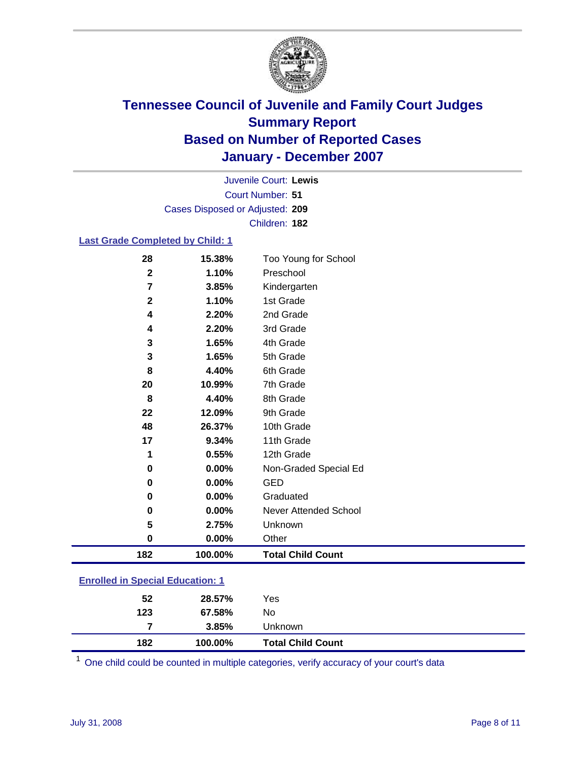

Court Number: **51** Juvenile Court: **Lewis** Cases Disposed or Adjusted: **209** Children: **182**

#### **Last Grade Completed by Child: 1**

| 28           | 15.38%  | Too Young for School     |
|--------------|---------|--------------------------|
| $\mathbf{2}$ | 1.10%   | Preschool                |
| 7            | 3.85%   | Kindergarten             |
| $\mathbf 2$  | 1.10%   | 1st Grade                |
| 4            | 2.20%   | 2nd Grade                |
| 4            | 2.20%   | 3rd Grade                |
| 3            | 1.65%   | 4th Grade                |
| 3            | 1.65%   | 5th Grade                |
| 8            | 4.40%   | 6th Grade                |
| 20           | 10.99%  | 7th Grade                |
| 8            | 4.40%   | 8th Grade                |
| 22           | 12.09%  | 9th Grade                |
| 48           | 26.37%  | 10th Grade               |
| 17           | 9.34%   | 11th Grade               |
| 1            | 0.55%   | 12th Grade               |
| 0            | 0.00%   | Non-Graded Special Ed    |
| $\bf{0}$     | 0.00%   | <b>GED</b>               |
| 0            | 0.00%   | Graduated                |
| 0            | 0.00%   | Never Attended School    |
| 5            | 2.75%   | Unknown                  |
| 0            | 0.00%   | Other                    |
| 182          | 100.00% | <b>Total Child Count</b> |
|              |         |                          |

### **Enrolled in Special Education: 1**

| 182 | 100.00% | <b>Total Child Count</b> |  |
|-----|---------|--------------------------|--|
| 7   | 3.85%   | <b>Unknown</b>           |  |
| 123 | 67.58%  | No                       |  |
| 52  | 28.57%  | Yes                      |  |
|     |         |                          |  |

<sup>1</sup> One child could be counted in multiple categories, verify accuracy of your court's data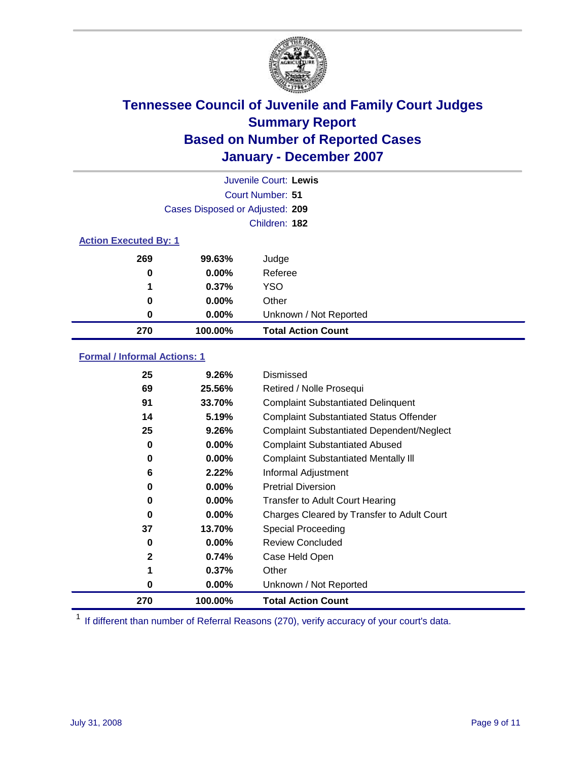

|                              |                                 | Juvenile Court: Lewis     |  |  |
|------------------------------|---------------------------------|---------------------------|--|--|
|                              | Court Number: 51                |                           |  |  |
|                              | Cases Disposed or Adjusted: 209 |                           |  |  |
|                              |                                 | Children: 182             |  |  |
| <b>Action Executed By: 1</b> |                                 |                           |  |  |
| 269                          | 99.63%                          | Judge                     |  |  |
| 0                            | $0.00\%$                        | Referee                   |  |  |
| 1                            | 0.37%                           | <b>YSO</b>                |  |  |
| 0                            | $0.00\%$                        | Other                     |  |  |
| 0                            | $0.00\%$                        | Unknown / Not Reported    |  |  |
| 270                          | 100.00%                         | <b>Total Action Count</b> |  |  |

### **Formal / Informal Actions: 1**

| 25           | 9.26%    | Dismissed                                        |
|--------------|----------|--------------------------------------------------|
| 69           | 25.56%   | Retired / Nolle Prosequi                         |
| 91           | 33.70%   | <b>Complaint Substantiated Delinquent</b>        |
| 14           | 5.19%    | <b>Complaint Substantiated Status Offender</b>   |
| 25           | 9.26%    | <b>Complaint Substantiated Dependent/Neglect</b> |
| 0            | $0.00\%$ | <b>Complaint Substantiated Abused</b>            |
| 0            | $0.00\%$ | <b>Complaint Substantiated Mentally III</b>      |
| 6            | 2.22%    | Informal Adjustment                              |
| 0            | $0.00\%$ | <b>Pretrial Diversion</b>                        |
| 0            | $0.00\%$ | <b>Transfer to Adult Court Hearing</b>           |
| 0            | $0.00\%$ | Charges Cleared by Transfer to Adult Court       |
| 37           | 13.70%   | Special Proceeding                               |
| 0            | $0.00\%$ | <b>Review Concluded</b>                          |
| $\mathbf{2}$ | 0.74%    | Case Held Open                                   |
| 1            | 0.37%    | Other                                            |
| 0            | $0.00\%$ | Unknown / Not Reported                           |
| 270          | 100.00%  | <b>Total Action Count</b>                        |

<sup>1</sup> If different than number of Referral Reasons (270), verify accuracy of your court's data.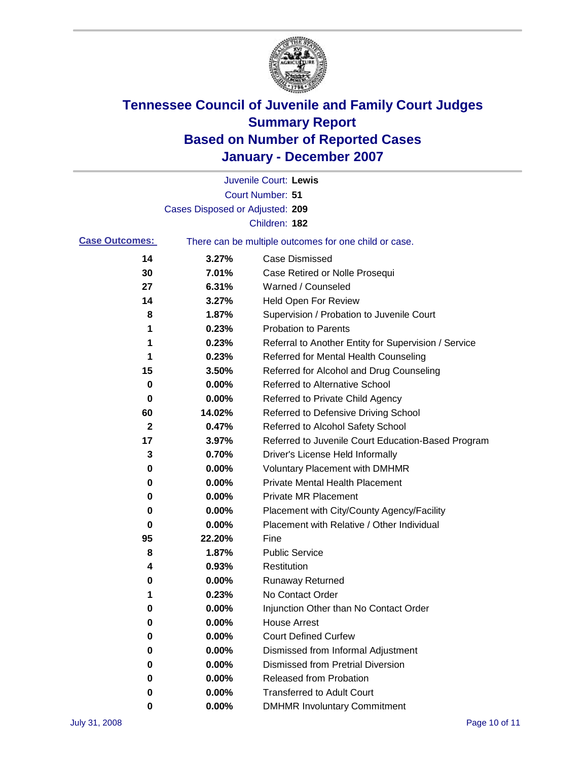

|                       |                                                       | Juvenile Court: Lewis                                |
|-----------------------|-------------------------------------------------------|------------------------------------------------------|
|                       |                                                       | Court Number: 51                                     |
|                       | Cases Disposed or Adjusted: 209                       |                                                      |
|                       |                                                       | Children: 182                                        |
| <b>Case Outcomes:</b> | There can be multiple outcomes for one child or case. |                                                      |
| 14                    | 3.27%                                                 | <b>Case Dismissed</b>                                |
| 30                    | 7.01%                                                 | Case Retired or Nolle Prosequi                       |
| 27                    | 6.31%                                                 | Warned / Counseled                                   |
| 14                    | 3.27%                                                 | <b>Held Open For Review</b>                          |
| 8                     | 1.87%                                                 | Supervision / Probation to Juvenile Court            |
| 1                     | 0.23%                                                 | <b>Probation to Parents</b>                          |
| 1                     | 0.23%                                                 | Referral to Another Entity for Supervision / Service |
| 1                     | 0.23%                                                 | Referred for Mental Health Counseling                |
| 15                    | 3.50%                                                 | Referred for Alcohol and Drug Counseling             |
| 0                     | 0.00%                                                 | <b>Referred to Alternative School</b>                |
| 0                     | 0.00%                                                 | Referred to Private Child Agency                     |
| 60                    | 14.02%                                                | Referred to Defensive Driving School                 |
| 2                     | 0.47%                                                 | Referred to Alcohol Safety School                    |
| 17                    | 3.97%                                                 | Referred to Juvenile Court Education-Based Program   |
| 3                     | 0.70%                                                 | Driver's License Held Informally                     |
| 0                     | 0.00%                                                 | <b>Voluntary Placement with DMHMR</b>                |
| 0                     | 0.00%                                                 | <b>Private Mental Health Placement</b>               |
| 0                     | 0.00%                                                 | Private MR Placement                                 |
| 0                     | 0.00%                                                 | Placement with City/County Agency/Facility           |
| 0                     | $0.00\%$                                              | Placement with Relative / Other Individual           |
| 95                    | 22.20%                                                | Fine                                                 |
| 8                     | 1.87%                                                 | <b>Public Service</b>                                |
| 4                     | 0.93%                                                 | Restitution                                          |
| 0                     | 0.00%                                                 | <b>Runaway Returned</b>                              |
| 1                     | 0.23%                                                 | No Contact Order                                     |
| $\bf{0}$              | 0.00%                                                 | Injunction Other than No Contact Order               |
| 0                     | 0.00%                                                 | <b>House Arrest</b>                                  |
| 0                     | 0.00%                                                 | <b>Court Defined Curfew</b>                          |
| 0                     | 0.00%                                                 | Dismissed from Informal Adjustment                   |
| 0                     | 0.00%                                                 | <b>Dismissed from Pretrial Diversion</b>             |
| 0                     | 0.00%                                                 | Released from Probation                              |
| 0                     | 0.00%                                                 | <b>Transferred to Adult Court</b>                    |
| 0                     | $0.00\%$                                              | <b>DMHMR Involuntary Commitment</b>                  |